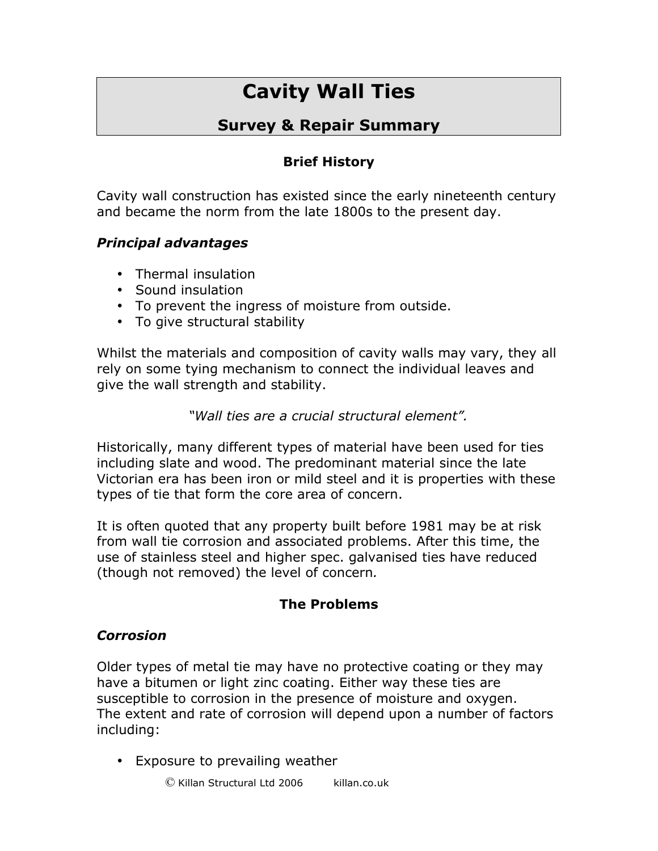# **Cavity Wall Ties**

## **Survey & Repair Summary**

## **Brief History**

Cavity wall construction has existed since the early nineteenth century and became the norm from the late 1800s to the present day.

#### *Principal advantages*

- Thermal insulation
- Sound insulation
- To prevent the ingress of moisture from outside.
- To give structural stability

Whilst the materials and composition of cavity walls may vary, they all rely on some tying mechanism to connect the individual leaves and give the wall strength and stability.

*"Wall ties are a crucial structural element".*

Historically, many different types of material have been used for ties including slate and wood. The predominant material since the late Victorian era has been iron or mild steel and it is properties with these types of tie that form the core area of concern.

It is often quoted that any property built before 1981 may be at risk from wall tie corrosion and associated problems. After this time, the use of stainless steel and higher spec. galvanised ties have reduced (though not removed) the level of concern*.*

#### **The Problems**

#### *Corrosion*

Older types of metal tie may have no protective coating or they may have a bitumen or light zinc coating. Either way these ties are susceptible to corrosion in the presence of moisture and oxygen. The extent and rate of corrosion will depend upon a number of factors including:

• Exposure to prevailing weather

 $\heartsuit$  Killan Structural Ltd 2006 killan.co.uk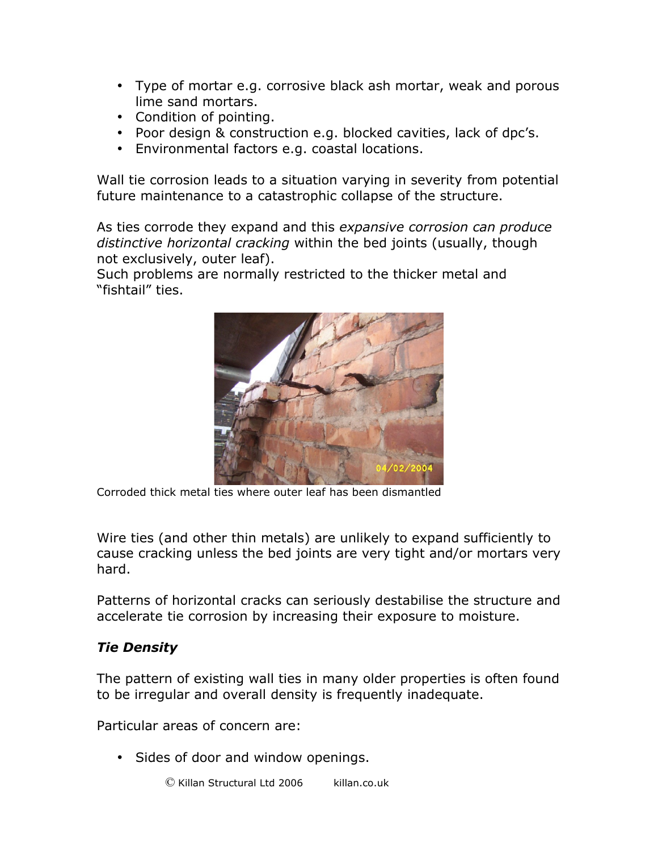- Type of mortar e.g. corrosive black ash mortar, weak and porous lime sand mortars.
- Condition of pointing.
- Poor design & construction e.g. blocked cavities, lack of dpc's.
- Environmental factors e.g. coastal locations.

Wall tie corrosion leads to a situation varying in severity from potential future maintenance to a catastrophic collapse of the structure.

As ties corrode they expand and this *expansive corrosion can produce distinctive horizontal cracking* within the bed joints (usually, though not exclusively, outer leaf).

Such problems are normally restricted to the thicker metal and "fishtail" ties.



Corroded thick metal ties where outer leaf has been dismantled

Wire ties (and other thin metals) are unlikely to expand sufficiently to cause cracking unless the bed joints are very tight and/or mortars very hard.

Patterns of horizontal cracks can seriously destabilise the structure and accelerate tie corrosion by increasing their exposure to moisture.

### *Tie Density*

The pattern of existing wall ties in many older properties is often found to be irregular and overall density is frequently inadequate.

Particular areas of concern are:

• Sides of door and window openings.

 $\heartsuit$  Killan Structural Ltd 2006 killan.co.uk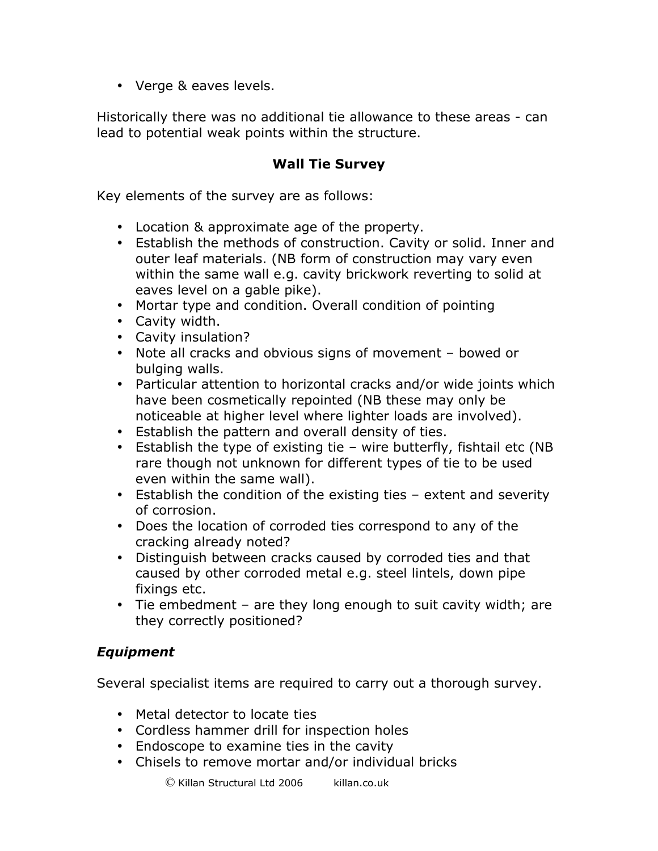• Verge & eaves levels.

Historically there was no additional tie allowance to these areas - can lead to potential weak points within the structure.

#### **Wall Tie Survey**

Key elements of the survey are as follows:

- Location & approximate age of the property.
- Establish the methods of construction. Cavity or solid. Inner and outer leaf materials. (NB form of construction may vary even within the same wall e.g. cavity brickwork reverting to solid at eaves level on a gable pike).
- Mortar type and condition. Overall condition of pointing
- Cavity width.
- Cavity insulation?
- Note all cracks and obvious signs of movement bowed or bulging walls.
- Particular attention to horizontal cracks and/or wide joints which have been cosmetically repointed (NB these may only be noticeable at higher level where lighter loads are involved).
- Establish the pattern and overall density of ties.
- Establish the type of existing tie wire butterfly, fishtail etc (NB rare though not unknown for different types of tie to be used even within the same wall).
- Establish the condition of the existing ties extent and severity of corrosion.
- Does the location of corroded ties correspond to any of the cracking already noted?
- Distinguish between cracks caused by corroded ties and that caused by other corroded metal e.g. steel lintels, down pipe fixings etc.
- Tie embedment are they long enough to suit cavity width; are they correctly positioned?

#### *Equipment*

Several specialist items are required to carry out a thorough survey.

- Metal detector to locate ties
- Cordless hammer drill for inspection holes
- Endoscope to examine ties in the cavity
- Chisels to remove mortar and/or individual bricks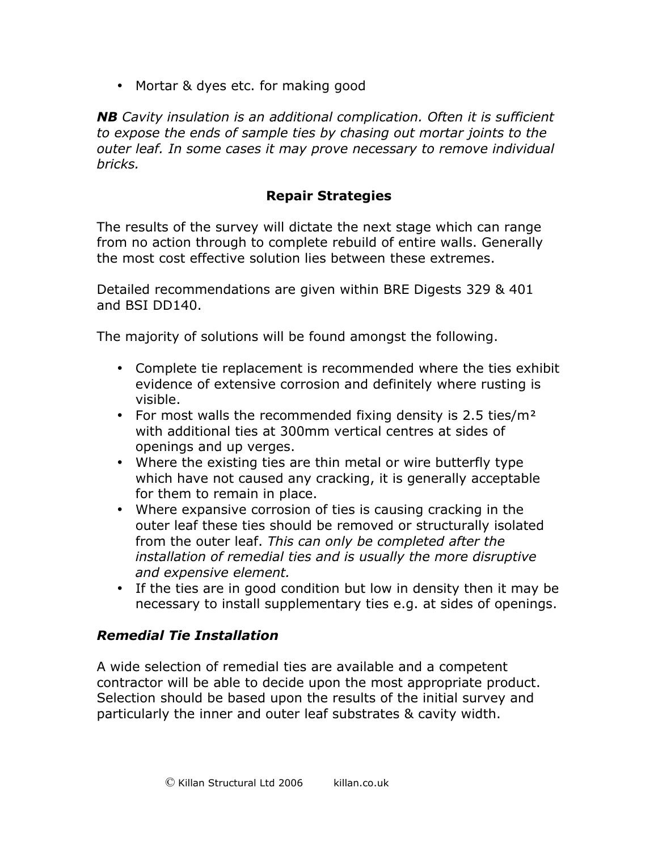• Mortar & dyes etc. for making good

*NB Cavity insulation is an additional complication. Often it is sufficient to expose the ends of sample ties by chasing out mortar joints to the outer leaf. In some cases it may prove necessary to remove individual bricks.*

#### **Repair Strategies**

The results of the survey will dictate the next stage which can range from no action through to complete rebuild of entire walls. Generally the most cost effective solution lies between these extremes.

Detailed recommendations are given within BRE Digests 329 & 401 and BSI DD140.

The majority of solutions will be found amongst the following.

- Complete tie replacement is recommended where the ties exhibit evidence of extensive corrosion and definitely where rusting is visible.
- For most walls the recommended fixing density is 2.5 ties/ $m<sup>2</sup>$ with additional ties at 300mm vertical centres at sides of openings and up verges.
- Where the existing ties are thin metal or wire butterfly type which have not caused any cracking, it is generally acceptable for them to remain in place.
- Where expansive corrosion of ties is causing cracking in the outer leaf these ties should be removed or structurally isolated from the outer leaf. *This can only be completed after the installation of remedial ties and is usually the more disruptive and expensive element.*
- If the ties are in good condition but low in density then it may be necessary to install supplementary ties e.g. at sides of openings.

#### *Remedial Tie Installation*

A wide selection of remedial ties are available and a competent contractor will be able to decide upon the most appropriate product. Selection should be based upon the results of the initial survey and particularly the inner and outer leaf substrates & cavity width.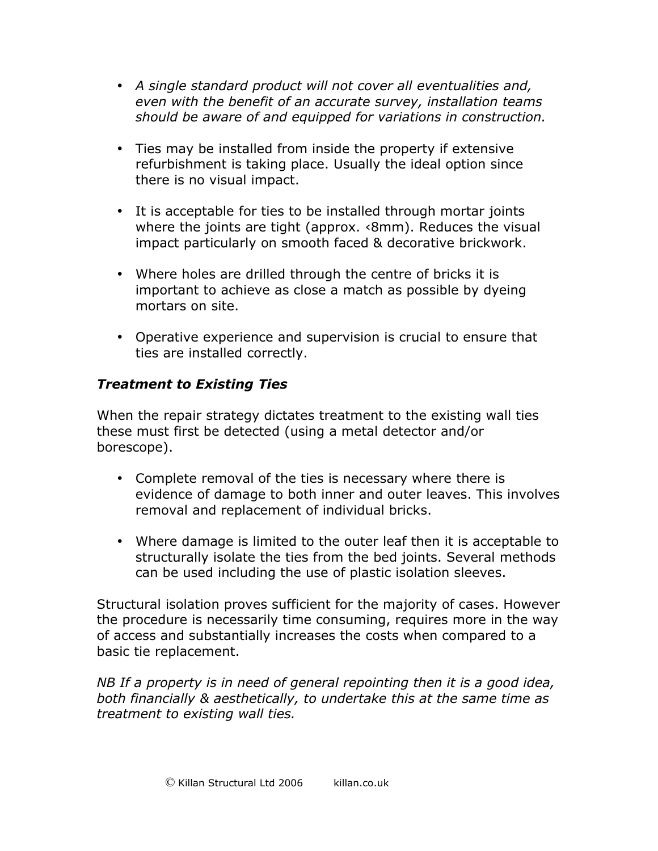- *A single standard product will not cover all eventualities and, even with the benefit of an accurate survey, installation teams should be aware of and equipped for variations in construction.*
- Ties may be installed from inside the property if extensive refurbishment is taking place. Usually the ideal option since there is no visual impact.
- It is acceptable for ties to be installed through mortar joints where the joints are tight (approx. ‹8mm). Reduces the visual impact particularly on smooth faced & decorative brickwork.
- Where holes are drilled through the centre of bricks it is important to achieve as close a match as possible by dyeing mortars on site.
- Operative experience and supervision is crucial to ensure that ties are installed correctly.

#### *Treatment to Existing Ties*

When the repair strategy dictates treatment to the existing wall ties these must first be detected (using a metal detector and/or borescope).

- Complete removal of the ties is necessary where there is evidence of damage to both inner and outer leaves. This involves removal and replacement of individual bricks.
- Where damage is limited to the outer leaf then it is acceptable to structurally isolate the ties from the bed joints. Several methods can be used including the use of plastic isolation sleeves.

Structural isolation proves sufficient for the majority of cases. However the procedure is necessarily time consuming, requires more in the way of access and substantially increases the costs when compared to a basic tie replacement.

*NB If a property is in need of general repointing then it is a good idea, both financially & aesthetically, to undertake this at the same time as treatment to existing wall ties.*